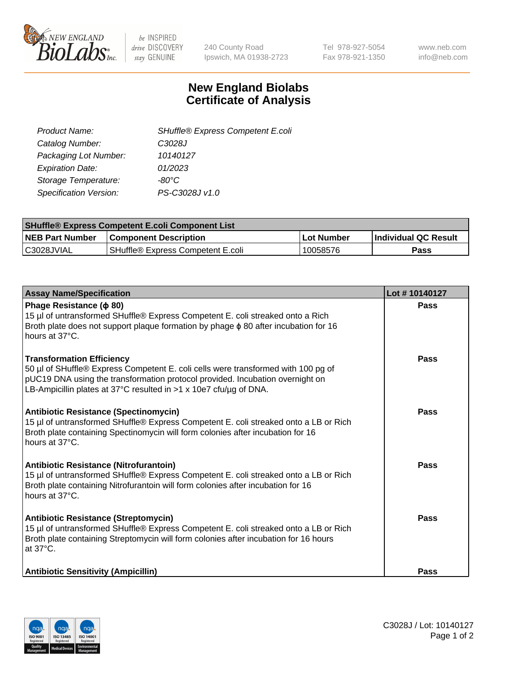

be INSPIRED drive DISCOVERY stay GENUINE

240 County Road Ipswich, MA 01938-2723 Tel 978-927-5054 Fax 978-921-1350 www.neb.com info@neb.com

## **New England Biolabs Certificate of Analysis**

| Product Name:           | SHuffle® Express Competent E.coli |
|-------------------------|-----------------------------------|
| Catalog Number:         | C3028J                            |
| Packaging Lot Number:   | 10140127                          |
| <b>Expiration Date:</b> | 01/2023                           |
| Storage Temperature:    | -80°C                             |
| Specification Version:  | PS-C3028J v1.0                    |
|                         |                                   |

| <b>SHuffle® Express Competent E.coli Component List</b> |                                   |              |                             |  |  |
|---------------------------------------------------------|-----------------------------------|--------------|-----------------------------|--|--|
| <b>NEB Part Number</b>                                  | <b>Component Description</b>      | l Lot Number | <b>Individual QC Result</b> |  |  |
| C3028JVIAL                                              | SHuffle® Express Competent E.coli | 10058576     | Pass                        |  |  |

| <b>Assay Name/Specification</b>                                                                                                                                                                                                                                             | Lot #10140127 |
|-----------------------------------------------------------------------------------------------------------------------------------------------------------------------------------------------------------------------------------------------------------------------------|---------------|
| Phage Resistance ( $\phi$ 80)<br>15 µl of untransformed SHuffle® Express Competent E. coli streaked onto a Rich<br>Broth plate does not support plaque formation by phage $\phi$ 80 after incubation for 16<br>hours at 37°C.                                               | <b>Pass</b>   |
| <b>Transformation Efficiency</b><br>50 µl of SHuffle® Express Competent E. coli cells were transformed with 100 pg of<br>pUC19 DNA using the transformation protocol provided. Incubation overnight on<br>LB-Ampicillin plates at 37°C resulted in >1 x 10e7 cfu/µg of DNA. | Pass          |
| <b>Antibiotic Resistance (Spectinomycin)</b><br>15 µl of untransformed SHuffle® Express Competent E. coli streaked onto a LB or Rich<br>Broth plate containing Spectinomycin will form colonies after incubation for 16<br>hours at 37°C.                                   | Pass          |
| Antibiotic Resistance (Nitrofurantoin)<br>15 µl of untransformed SHuffle® Express Competent E. coli streaked onto a LB or Rich<br>Broth plate containing Nitrofurantoin will form colonies after incubation for 16<br>hours at 37°C.                                        | <b>Pass</b>   |
| <b>Antibiotic Resistance (Streptomycin)</b><br>15 µl of untransformed SHuffle® Express Competent E. coli streaked onto a LB or Rich<br>Broth plate containing Streptomycin will form colonies after incubation for 16 hours<br>at 37°C.                                     | Pass          |
| <b>Antibiotic Sensitivity (Ampicillin)</b>                                                                                                                                                                                                                                  | <b>Pass</b>   |